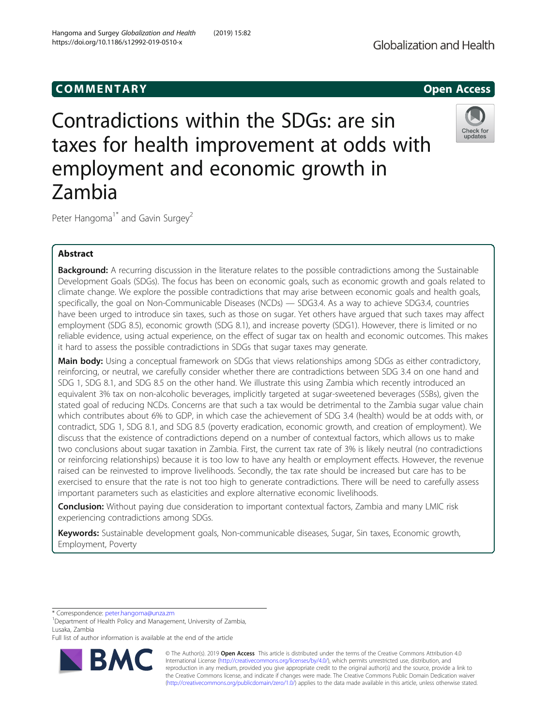# COMM EN TARY Open Access

Contradictions within the SDGs: are sin taxes for health improvement at odds with employment and economic growth in Zambia

Peter Hangoma<sup>1\*</sup> and Gavin Surgey<sup>2</sup>

# Abstract

Background: A recurring discussion in the literature relates to the possible contradictions among the Sustainable Development Goals (SDGs). The focus has been on economic goals, such as economic growth and goals related to climate change. We explore the possible contradictions that may arise between economic goals and health goals, specifically, the goal on Non-Communicable Diseases (NCDs) — SDG3.4. As a way to achieve SDG3.4, countries have been urged to introduce sin taxes, such as those on sugar. Yet others have argued that such taxes may affect employment (SDG 8.5), economic growth (SDG 8.1), and increase poverty (SDG1). However, there is limited or no reliable evidence, using actual experience, on the effect of sugar tax on health and economic outcomes. This makes it hard to assess the possible contradictions in SDGs that sugar taxes may generate.

Main body: Using a conceptual framework on SDGs that views relationships among SDGs as either contradictory, reinforcing, or neutral, we carefully consider whether there are contradictions between SDG 3.4 on one hand and SDG 1, SDG 8.1, and SDG 8.5 on the other hand. We illustrate this using Zambia which recently introduced an equivalent 3% tax on non-alcoholic beverages, implicitly targeted at sugar-sweetened beverages (SSBs), given the stated goal of reducing NCDs. Concerns are that such a tax would be detrimental to the Zambia sugar value chain which contributes about 6% to GDP, in which case the achievement of SDG 3.4 (health) would be at odds with, or contradict, SDG 1, SDG 8.1, and SDG 8.5 (poverty eradication, economic growth, and creation of employment). We discuss that the existence of contradictions depend on a number of contextual factors, which allows us to make two conclusions about sugar taxation in Zambia. First, the current tax rate of 3% is likely neutral (no contradictions or reinforcing relationships) because it is too low to have any health or employment effects. However, the revenue raised can be reinvested to improve livelihoods. Secondly, the tax rate should be increased but care has to be exercised to ensure that the rate is not too high to generate contradictions. There will be need to carefully assess important parameters such as elasticities and explore alternative economic livelihoods.

**Conclusion:** Without paying due consideration to important contextual factors, Zambia and many LMIC risk experiencing contradictions among SDGs.

Keywords: Sustainable development goals, Non-communicable diseases, Sugar, Sin taxes, Economic growth, Employment, Poverty

\* Correspondence: [peter.hangoma@unza.zm](mailto:peter.hangoma@unza.zm) <sup>1</sup>

<sup>1</sup>Department of Health Policy and Management, University of Zambia, Lusaka, Zambia

Full list of author information is available at the end of the article

© The Author(s). 2019 Open Access This article is distributed under the terms of the Creative Commons Attribution 4.0 International License [\(http://creativecommons.org/licenses/by/4.0/](http://creativecommons.org/licenses/by/4.0/)), which permits unrestricted use, distribution, and reproduction in any medium, provided you give appropriate credit to the original author(s) and the source, provide a link to the Creative Commons license, and indicate if changes were made. The Creative Commons Public Domain Dedication waiver [\(http://creativecommons.org/publicdomain/zero/1.0/](http://creativecommons.org/publicdomain/zero/1.0/)) applies to the data made available in this article, unless otherwise stated.

Hangoma and Surgey Globalization and Health (2019) 15:82 https://doi.org/10.1186/s12992-019-0510-x



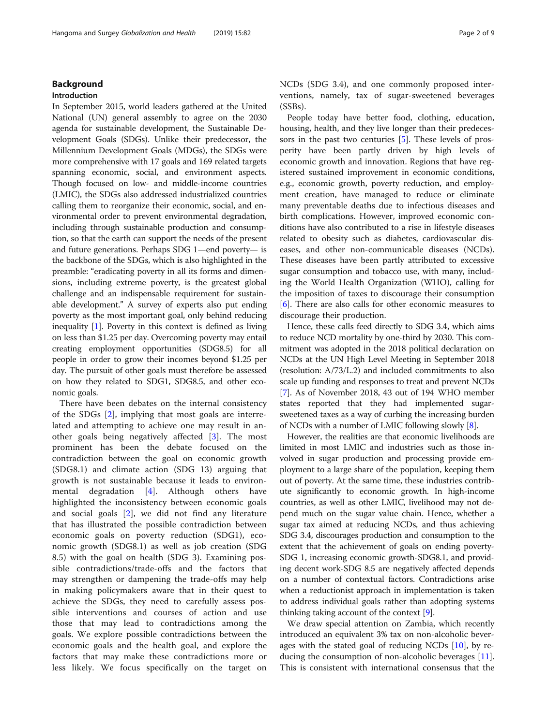### Background

### Introduction

In September 2015, world leaders gathered at the United National (UN) general assembly to agree on the 2030 agenda for sustainable development, the Sustainable Development Goals (SDGs). Unlike their predecessor, the Millennium Development Goals (MDGs), the SDGs were more comprehensive with 17 goals and 169 related targets spanning economic, social, and environment aspects. Though focused on low- and middle-income countries (LMIC), the SDGs also addressed industrialized countries calling them to reorganize their economic, social, and environmental order to prevent environmental degradation, including through sustainable production and consumption, so that the earth can support the needs of the present and future generations. Perhaps SDG 1—end poverty— is the backbone of the SDGs, which is also highlighted in the preamble: "eradicating poverty in all its forms and dimensions, including extreme poverty, is the greatest global challenge and an indispensable requirement for sustainable development." A survey of experts also put ending poverty as the most important goal, only behind reducing inequality [[1](#page-7-0)]. Poverty in this context is defined as living on less than \$1.25 per day. Overcoming poverty may entail creating employment opportunities (SDG8.5) for all people in order to grow their incomes beyond \$1.25 per day. The pursuit of other goals must therefore be assessed on how they related to SDG1, SDG8.5, and other economic goals.

There have been debates on the internal consistency of the SDGs [[2](#page-7-0)], implying that most goals are interrelated and attempting to achieve one may result in another goals being negatively affected [[3\]](#page-7-0). The most prominent has been the debate focused on the contradiction between the goal on economic growth (SDG8.1) and climate action (SDG 13) arguing that growth is not sustainable because it leads to environmental degradation [[4](#page-7-0)]. Although others have highlighted the inconsistency between economic goals and social goals [\[2](#page-7-0)], we did not find any literature that has illustrated the possible contradiction between economic goals on poverty reduction (SDG1), economic growth (SDG8.1) as well as job creation (SDG 8.5) with the goal on health (SDG 3). Examining possible contradictions/trade-offs and the factors that may strengthen or dampening the trade-offs may help in making policymakers aware that in their quest to achieve the SDGs, they need to carefully assess possible interventions and courses of action and use those that may lead to contradictions among the goals. We explore possible contradictions between the economic goals and the health goal, and explore the factors that may make these contradictions more or less likely. We focus specifically on the target on NCDs (SDG 3.4), and one commonly proposed interventions, namely, tax of sugar-sweetened beverages (SSBs).

People today have better food, clothing, education, housing, health, and they live longer than their predeces-sors in the past two centuries [[5\]](#page-7-0). These levels of prosperity have been partly driven by high levels of economic growth and innovation. Regions that have registered sustained improvement in economic conditions, e.g., economic growth, poverty reduction, and employment creation, have managed to reduce or eliminate many preventable deaths due to infectious diseases and birth complications. However, improved economic conditions have also contributed to a rise in lifestyle diseases related to obesity such as diabetes, cardiovascular diseases, and other non-communicable diseases (NCDs). These diseases have been partly attributed to excessive sugar consumption and tobacco use, with many, including the World Health Organization (WHO), calling for the imposition of taxes to discourage their consumption [[6\]](#page-7-0). There are also calls for other economic measures to discourage their production.

Hence, these calls feed directly to SDG 3.4, which aims to reduce NCD mortality by one-third by 2030. This commitment was adopted in the 2018 political declaration on NCDs at the UN High Level Meeting in September 2018 (resolution: A/73/L.2) and included commitments to also scale up funding and responses to treat and prevent NCDs [[7\]](#page-7-0). As of November 2018, 43 out of 194 WHO member states reported that they had implemented sugarsweetened taxes as a way of curbing the increasing burden of NCDs with a number of LMIC following slowly [\[8\]](#page-7-0).

However, the realities are that economic livelihoods are limited in most LMIC and industries such as those involved in sugar production and processing provide employment to a large share of the population, keeping them out of poverty. At the same time, these industries contribute significantly to economic growth. In high-income countries, as well as other LMIC, livelihood may not depend much on the sugar value chain. Hence, whether a sugar tax aimed at reducing NCDs, and thus achieving SDG 3.4, discourages production and consumption to the extent that the achievement of goals on ending poverty-SDG 1, increasing economic growth-SDG8.1, and providing decent work-SDG 8.5 are negatively affected depends on a number of contextual factors. Contradictions arise when a reductionist approach in implementation is taken to address individual goals rather than adopting systems thinking taking account of the context [\[9](#page-7-0)].

We draw special attention on Zambia, which recently introduced an equivalent 3% tax on non-alcoholic beverages with the stated goal of reducing NCDs [[10\]](#page-7-0), by reducing the consumption of non-alcoholic beverages [\[11](#page-7-0)]. This is consistent with international consensus that the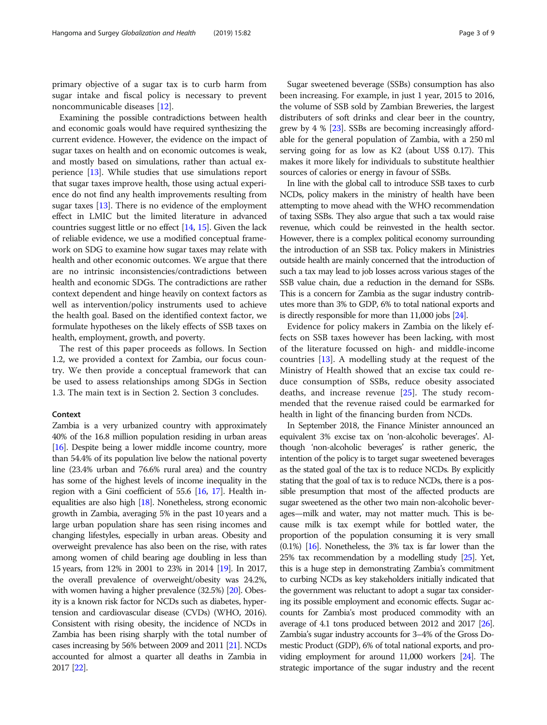primary objective of a sugar tax is to curb harm from sugar intake and fiscal policy is necessary to prevent noncommunicable diseases [\[12\]](#page-7-0).

Examining the possible contradictions between health and economic goals would have required synthesizing the current evidence. However, the evidence on the impact of sugar taxes on health and on economic outcomes is weak, and mostly based on simulations, rather than actual experience [\[13\]](#page-7-0). While studies that use simulations report that sugar taxes improve health, those using actual experience do not find any health improvements resulting from sugar taxes  $[13]$  $[13]$  $[13]$ . There is no evidence of the employment effect in LMIC but the limited literature in advanced countries suggest little or no effect [[14](#page-7-0), [15\]](#page-7-0). Given the lack of reliable evidence, we use a modified conceptual framework on SDG to examine how sugar taxes may relate with health and other economic outcomes. We argue that there are no intrinsic inconsistencies/contradictions between health and economic SDGs. The contradictions are rather context dependent and hinge heavily on context factors as well as intervention/policy instruments used to achieve the health goal. Based on the identified context factor, we formulate hypotheses on the likely effects of SSB taxes on health, employment, growth, and poverty.

The rest of this paper proceeds as follows. In Section 1.2, we provided a context for Zambia, our focus country. We then provide a conceptual framework that can be used to assess relationships among SDGs in Section 1.3. The main text is in Section 2. Section 3 concludes.

### Context

Zambia is a very urbanized country with approximately 40% of the 16.8 million population residing in urban areas [[16](#page-8-0)]. Despite being a lower middle income country, more than 54.4% of its population live below the national poverty line (23.4% urban and 76.6% rural area) and the country has some of the highest levels of income inequality in the region with a Gini coefficient of 55.6 [\[16,](#page-8-0) [17\]](#page-8-0). Health inequalities are also high [[18\]](#page-8-0). Nonetheless, strong economic growth in Zambia, averaging 5% in the past 10 years and a large urban population share has seen rising incomes and changing lifestyles, especially in urban areas. Obesity and overweight prevalence has also been on the rise, with rates among women of child bearing age doubling in less than 15 years, from 12% in 2001 to 23% in 2014 [\[19\]](#page-8-0). In 2017, the overall prevalence of overweight/obesity was 24.2%, with women having a higher prevalence (32.5%) [[20](#page-8-0)]. Obesity is a known risk factor for NCDs such as diabetes, hypertension and cardiovascular disease (CVDs) (WHO, 2016). Consistent with rising obesity, the incidence of NCDs in Zambia has been rising sharply with the total number of cases increasing by 56% between 2009 and 2011 [\[21\]](#page-8-0). NCDs accounted for almost a quarter all deaths in Zambia in 2017 [\[22\]](#page-8-0).

Sugar sweetened beverage (SSBs) consumption has also been increasing. For example, in just 1 year, 2015 to 2016, the volume of SSB sold by Zambian Breweries, the largest distributers of soft drinks and clear beer in the country, grew by 4 % [[23](#page-8-0)]. SSBs are becoming increasingly affordable for the general population of Zambia, with a 250 ml serving going for as low as K2 (about US\$ 0.17). This makes it more likely for individuals to substitute healthier sources of calories or energy in favour of SSBs.

In line with the global call to introduce SSB taxes to curb NCDs, policy makers in the ministry of health have been attempting to move ahead with the WHO recommendation of taxing SSBs. They also argue that such a tax would raise revenue, which could be reinvested in the health sector. However, there is a complex political economy surrounding the introduction of an SSB tax. Policy makers in Ministries outside health are mainly concerned that the introduction of such a tax may lead to job losses across various stages of the SSB value chain, due a reduction in the demand for SSBs. This is a concern for Zambia as the sugar industry contributes more than 3% to GDP, 6% to total national exports and is directly responsible for more than 11,000 jobs [[24\]](#page-8-0).

Evidence for policy makers in Zambia on the likely effects on SSB taxes however has been lacking, with most of the literature focussed on high- and middle-income countries [[13\]](#page-7-0). A modelling study at the request of the Ministry of Health showed that an excise tax could reduce consumption of SSBs, reduce obesity associated deaths, and increase revenue [\[25\]](#page-8-0). The study recommended that the revenue raised could be earmarked for health in light of the financing burden from NCDs.

In September 2018, the Finance Minister announced an equivalent 3% excise tax on 'non-alcoholic beverages'. Although 'non-alcoholic beverages' is rather generic, the intention of the policy is to target sugar sweetened beverages as the stated goal of the tax is to reduce NCDs. By explicitly stating that the goal of tax is to reduce NCDs, there is a possible presumption that most of the affected products are sugar sweetened as the other two main non-alcoholic beverages—milk and water, may not matter much. This is because milk is tax exempt while for bottled water, the proportion of the population consuming it is very small (0.1%) [[16\]](#page-8-0). Nonetheless, the 3% tax is far lower than the 25% tax recommendation by a modelling study [\[25](#page-8-0)]. Yet, this is a huge step in demonstrating Zambia's commitment to curbing NCDs as key stakeholders initially indicated that the government was reluctant to adopt a sugar tax considering its possible employment and economic effects. Sugar accounts for Zambia's most produced commodity with an average of 4.1 tons produced between 2012 and 2017 [\[26](#page-8-0)]. Zambia's sugar industry accounts for 3–4% of the Gross Domestic Product (GDP), 6% of total national exports, and providing employment for around 11,000 workers [[24](#page-8-0)]. The strategic importance of the sugar industry and the recent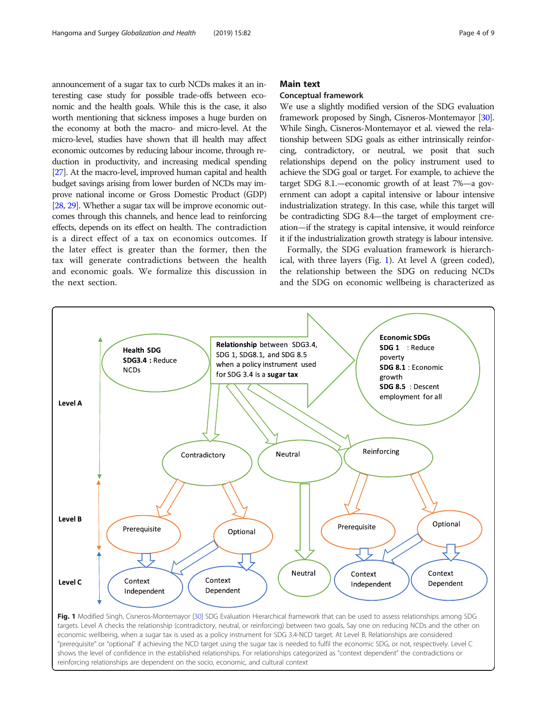announcement of a sugar tax to curb NCDs makes it an interesting case study for possible trade-offs between economic and the health goals. While this is the case, it also worth mentioning that sickness imposes a huge burden on the economy at both the macro- and micro-level. At the micro-level, studies have shown that ill health may affect economic outcomes by reducing labour income, through reduction in productivity, and increasing medical spending [[27\]](#page-8-0). At the macro-level, improved human capital and health budget savings arising from lower burden of NCDs may improve national income or Gross Domestic Product (GDP) [[28,](#page-8-0) [29\]](#page-8-0). Whether a sugar tax will be improve economic outcomes through this channels, and hence lead to reinforcing effects, depends on its effect on health. The contradiction is a direct effect of a tax on economics outcomes. If the later effect is greater than the former, then the tax will generate contradictions between the health and economic goals. We formalize this discussion in the next section.

### Main text

### Conceptual framework

We use a slightly modified version of the SDG evaluation framework proposed by Singh, Cisneros-Montemayor [\[30](#page-8-0)]. While Singh, Cisneros-Montemayor et al. viewed the relationship between SDG goals as either intrinsically reinforcing, contradictory, or neutral, we posit that such relationships depend on the policy instrument used to achieve the SDG goal or target. For example, to achieve the target SDG 8.1.—economic growth of at least 7%—a government can adopt a capital intensive or labour intensive industrialization strategy. In this case, while this target will be contradicting SDG 8.4—the target of employment creation—if the strategy is capital intensive, it would reinforce it if the industrialization growth strategy is labour intensive.

Formally, the SDG evaluation framework is hierarchical, with three layers (Fig. 1). At level A (green coded), the relationship between the SDG on reducing NCDs and the SDG on economic wellbeing is characterized as



targets. Level A checks the relationship (contradictory, neutral, or reinforcing) between two goals, Say one on reducing NCDs and the other on economic wellbeing, when a sugar tax is used as a policy instrument for SDG 3.4-NCD target. At Level B, Relationships are considered "prerequisite" or "optional" if achieving the NCD target using the sugar tax is needed to fulfil the economic SDG, or not, respectively. Level C shows the level of confidence in the established relationships. For relationships categorized as "context dependent" the contradictions or reinforcing relationships are dependent on the socio, economic, and cultural context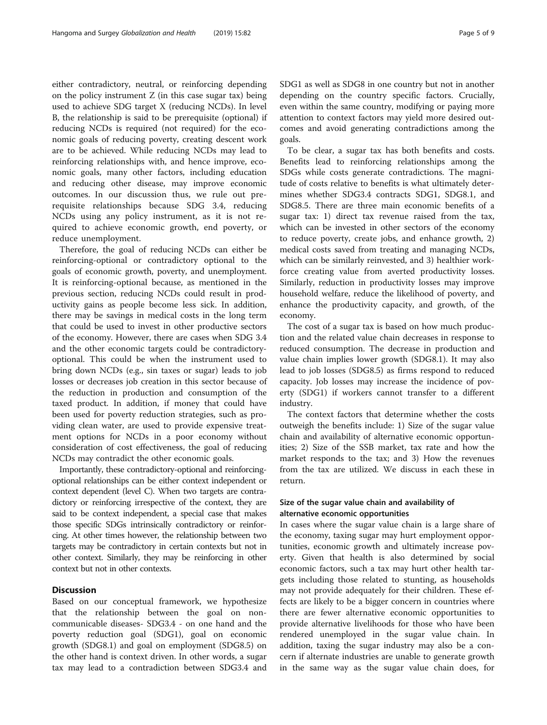either contradictory, neutral, or reinforcing depending on the policy instrument  $Z$  (in this case sugar tax) being used to achieve SDG target X (reducing NCDs). In level B, the relationship is said to be prerequisite (optional) if reducing NCDs is required (not required) for the economic goals of reducing poverty, creating descent work are to be achieved. While reducing NCDs may lead to reinforcing relationships with, and hence improve, economic goals, many other factors, including education and reducing other disease, may improve economic outcomes. In our discussion thus, we rule out prerequisite relationships because SDG 3.4, reducing NCDs using any policy instrument, as it is not required to achieve economic growth, end poverty, or reduce unemployment.

Therefore, the goal of reducing NCDs can either be reinforcing-optional or contradictory optional to the goals of economic growth, poverty, and unemployment. It is reinforcing-optional because, as mentioned in the previous section, reducing NCDs could result in productivity gains as people become less sick. In addition, there may be savings in medical costs in the long term that could be used to invest in other productive sectors of the economy. However, there are cases when SDG 3.4 and the other economic targets could be contradictoryoptional. This could be when the instrument used to bring down NCDs (e.g., sin taxes or sugar) leads to job losses or decreases job creation in this sector because of the reduction in production and consumption of the taxed product. In addition, if money that could have been used for poverty reduction strategies, such as providing clean water, are used to provide expensive treatment options for NCDs in a poor economy without consideration of cost effectiveness, the goal of reducing NCDs may contradict the other economic goals.

Importantly, these contradictory-optional and reinforcingoptional relationships can be either context independent or context dependent (level C). When two targets are contradictory or reinforcing irrespective of the context, they are said to be context independent, a special case that makes those specific SDGs intrinsically contradictory or reinforcing. At other times however, the relationship between two targets may be contradictory in certain contexts but not in other context. Similarly, they may be reinforcing in other context but not in other contexts.

### **Discussion**

Based on our conceptual framework, we hypothesize that the relationship between the goal on noncommunicable diseases- SDG3.4 - on one hand and the poverty reduction goal (SDG1), goal on economic growth (SDG8.1) and goal on employment (SDG8.5) on the other hand is context driven. In other words, a sugar tax may lead to a contradiction between SDG3.4 and SDG1 as well as SDG8 in one country but not in another depending on the country specific factors. Crucially, even within the same country, modifying or paying more attention to context factors may yield more desired outcomes and avoid generating contradictions among the goals.

To be clear, a sugar tax has both benefits and costs. Benefits lead to reinforcing relationships among the SDGs while costs generate contradictions. The magnitude of costs relative to benefits is what ultimately determines whether SDG3.4 contracts SDG1, SDG8.1, and SDG8.5. There are three main economic benefits of a sugar tax: 1) direct tax revenue raised from the tax, which can be invested in other sectors of the economy to reduce poverty, create jobs, and enhance growth, 2) medical costs saved from treating and managing NCDs, which can be similarly reinvested, and 3) healthier workforce creating value from averted productivity losses. Similarly, reduction in productivity losses may improve household welfare, reduce the likelihood of poverty, and enhance the productivity capacity, and growth, of the economy.

The cost of a sugar tax is based on how much production and the related value chain decreases in response to reduced consumption. The decrease in production and value chain implies lower growth (SDG8.1). It may also lead to job losses (SDG8.5) as firms respond to reduced capacity. Job losses may increase the incidence of poverty (SDG1) if workers cannot transfer to a different industry.

The context factors that determine whether the costs outweigh the benefits include: 1) Size of the sugar value chain and availability of alternative economic opportunities; 2) Size of the SSB market, tax rate and how the market responds to the tax; and 3) How the revenues from the tax are utilized. We discuss in each these in return.

## Size of the sugar value chain and availability of alternative economic opportunities

In cases where the sugar value chain is a large share of the economy, taxing sugar may hurt employment opportunities, economic growth and ultimately increase poverty. Given that health is also determined by social economic factors, such a tax may hurt other health targets including those related to stunting, as households may not provide adequately for their children. These effects are likely to be a bigger concern in countries where there are fewer alternative economic opportunities to provide alternative livelihoods for those who have been rendered unemployed in the sugar value chain. In addition, taxing the sugar industry may also be a concern if alternate industries are unable to generate growth in the same way as the sugar value chain does, for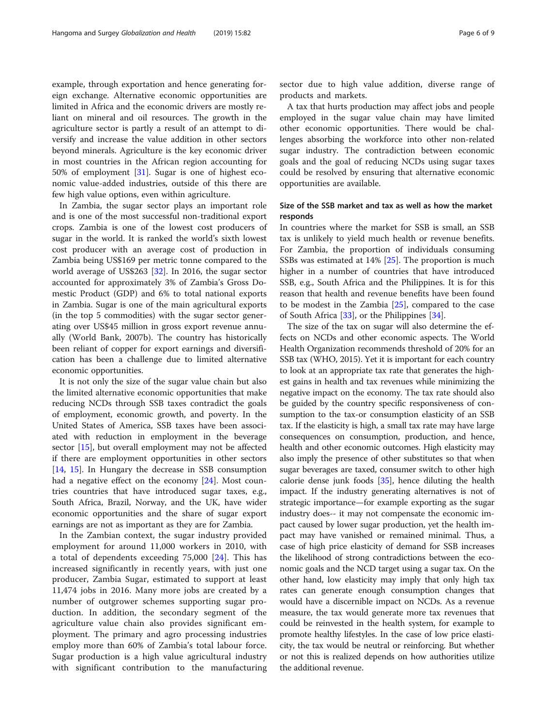example, through exportation and hence generating foreign exchange. Alternative economic opportunities are limited in Africa and the economic drivers are mostly reliant on mineral and oil resources. The growth in the agriculture sector is partly a result of an attempt to diversify and increase the value addition in other sectors beyond minerals. Agriculture is the key economic driver in most countries in the African region accounting for 50% of employment [\[31\]](#page-8-0). Sugar is one of highest economic value-added industries, outside of this there are few high value options, even within agriculture.

In Zambia, the sugar sector plays an important role and is one of the most successful non-traditional export crops. Zambia is one of the lowest cost producers of sugar in the world. It is ranked the world's sixth lowest cost producer with an average cost of production in Zambia being US\$169 per metric tonne compared to the world average of US\$263 [[32\]](#page-8-0). In 2016, the sugar sector accounted for approximately 3% of Zambia's Gross Domestic Product (GDP) and 6% to total national exports in Zambia. Sugar is one of the main agricultural exports (in the top 5 commodities) with the sugar sector generating over US\$45 million in gross export revenue annually (World Bank, 2007b). The country has historically been reliant of copper for export earnings and diversification has been a challenge due to limited alternative economic opportunities.

It is not only the size of the sugar value chain but also the limited alternative economic opportunities that make reducing NCDs through SSB taxes contradict the goals of employment, economic growth, and poverty. In the United States of America, SSB taxes have been associated with reduction in employment in the beverage sector [[15\]](#page-7-0), but overall employment may not be affected if there are employment opportunities in other sectors [[14,](#page-7-0) [15\]](#page-7-0). In Hungary the decrease in SSB consumption had a negative effect on the economy [[24](#page-8-0)]. Most countries countries that have introduced sugar taxes, e.g., South Africa, Brazil, Norway, and the UK, have wider economic opportunities and the share of sugar export earnings are not as important as they are for Zambia.

In the Zambian context, the sugar industry provided employment for around 11,000 workers in 2010, with a total of dependents exceeding 75,000 [[24\]](#page-8-0). This has increased significantly in recently years, with just one producer, Zambia Sugar, estimated to support at least 11,474 jobs in 2016. Many more jobs are created by a number of outgrower schemes supporting sugar production. In addition, the secondary segment of the agriculture value chain also provides significant employment. The primary and agro processing industries employ more than 60% of Zambia's total labour force. Sugar production is a high value agricultural industry with significant contribution to the manufacturing sector due to high value addition, diverse range of products and markets.

A tax that hurts production may affect jobs and people employed in the sugar value chain may have limited other economic opportunities. There would be challenges absorbing the workforce into other non-related sugar industry. The contradiction between economic goals and the goal of reducing NCDs using sugar taxes could be resolved by ensuring that alternative economic opportunities are available.

### Size of the SSB market and tax as well as how the market responds

In countries where the market for SSB is small, an SSB tax is unlikely to yield much health or revenue benefits. For Zambia, the proportion of individuals consuming SSBs was estimated at 14% [\[25](#page-8-0)]. The proportion is much higher in a number of countries that have introduced SSB, e.g., South Africa and the Philippines. It is for this reason that health and revenue benefits have been found to be modest in the Zambia [[25](#page-8-0)], compared to the case of South Africa [\[33](#page-8-0)], or the Philippines [\[34](#page-8-0)].

The size of the tax on sugar will also determine the effects on NCDs and other economic aspects. The World Health Organization recommends threshold of 20% for an SSB tax (WHO, 2015). Yet it is important for each country to look at an appropriate tax rate that generates the highest gains in health and tax revenues while minimizing the negative impact on the economy. The tax rate should also be guided by the country specific responsiveness of consumption to the tax-or consumption elasticity of an SSB tax. If the elasticity is high, a small tax rate may have large consequences on consumption, production, and hence, health and other economic outcomes. High elasticity may also imply the presence of other substitutes so that when sugar beverages are taxed, consumer switch to other high calorie dense junk foods [\[35\]](#page-8-0), hence diluting the health impact. If the industry generating alternatives is not of strategic importance—for example exporting as the sugar industry does-- it may not compensate the economic impact caused by lower sugar production, yet the health impact may have vanished or remained minimal. Thus, a case of high price elasticity of demand for SSB increases the likelihood of strong contradictions between the economic goals and the NCD target using a sugar tax. On the other hand, low elasticity may imply that only high tax rates can generate enough consumption changes that would have a discernible impact on NCDs. As a revenue measure, the tax would generate more tax revenues that could be reinvested in the health system, for example to promote healthy lifestyles. In the case of low price elasticity, the tax would be neutral or reinforcing. But whether or not this is realized depends on how authorities utilize the additional revenue.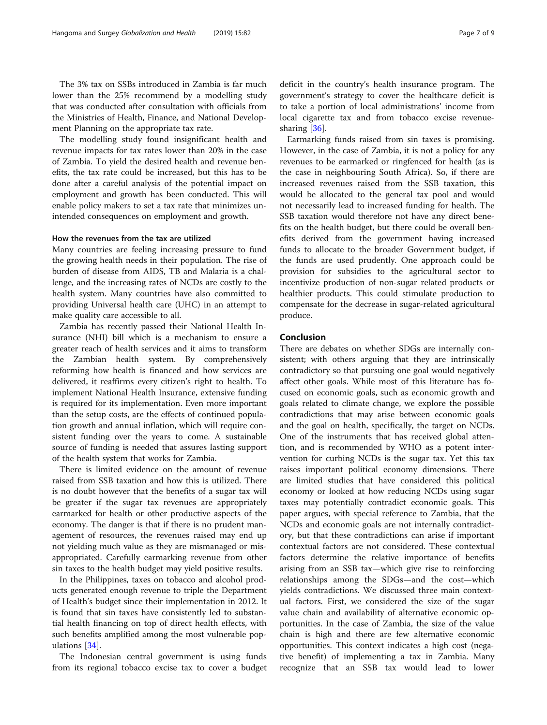The 3% tax on SSBs introduced in Zambia is far much lower than the 25% recommend by a modelling study that was conducted after consultation with officials from the Ministries of Health, Finance, and National Development Planning on the appropriate tax rate.

The modelling study found insignificant health and revenue impacts for tax rates lower than 20% in the case of Zambia. To yield the desired health and revenue benefits, the tax rate could be increased, but this has to be done after a careful analysis of the potential impact on employment and growth has been conducted. This will enable policy makers to set a tax rate that minimizes unintended consequences on employment and growth.

### How the revenues from the tax are utilized

Many countries are feeling increasing pressure to fund the growing health needs in their population. The rise of burden of disease from AIDS, TB and Malaria is a challenge, and the increasing rates of NCDs are costly to the health system. Many countries have also committed to providing Universal health care (UHC) in an attempt to make quality care accessible to all.

Zambia has recently passed their National Health Insurance (NHI) bill which is a mechanism to ensure a greater reach of health services and it aims to transform the Zambian health system. By comprehensively reforming how health is financed and how services are delivered, it reaffirms every citizen's right to health. To implement National Health Insurance, extensive funding is required for its implementation. Even more important than the setup costs, are the effects of continued population growth and annual inflation, which will require consistent funding over the years to come. A sustainable source of funding is needed that assures lasting support of the health system that works for Zambia.

There is limited evidence on the amount of revenue raised from SSB taxation and how this is utilized. There is no doubt however that the benefits of a sugar tax will be greater if the sugar tax revenues are appropriately earmarked for health or other productive aspects of the economy. The danger is that if there is no prudent management of resources, the revenues raised may end up not yielding much value as they are mismanaged or misappropriated. Carefully earmarking revenue from other sin taxes to the health budget may yield positive results.

In the Philippines, taxes on tobacco and alcohol products generated enough revenue to triple the Department of Health's budget since their implementation in 2012. It is found that sin taxes have consistently led to substantial health financing on top of direct health effects, with such benefits amplified among the most vulnerable populations [\[34\]](#page-8-0).

The Indonesian central government is using funds from its regional tobacco excise tax to cover a budget deficit in the country's health insurance program. The government's strategy to cover the healthcare deficit is to take a portion of local administrations' income from local cigarette tax and from tobacco excise revenuesharing [[36\]](#page-8-0).

Earmarking funds raised from sin taxes is promising. However, in the case of Zambia, it is not a policy for any revenues to be earmarked or ringfenced for health (as is the case in neighbouring South Africa). So, if there are increased revenues raised from the SSB taxation, this would be allocated to the general tax pool and would not necessarily lead to increased funding for health. The SSB taxation would therefore not have any direct benefits on the health budget, but there could be overall benefits derived from the government having increased funds to allocate to the broader Government budget, if the funds are used prudently. One approach could be provision for subsidies to the agricultural sector to incentivize production of non-sugar related products or healthier products. This could stimulate production to compensate for the decrease in sugar-related agricultural produce.

### Conclusion

There are debates on whether SDGs are internally consistent; with others arguing that they are intrinsically contradictory so that pursuing one goal would negatively affect other goals. While most of this literature has focused on economic goals, such as economic growth and goals related to climate change, we explore the possible contradictions that may arise between economic goals and the goal on health, specifically, the target on NCDs. One of the instruments that has received global attention, and is recommended by WHO as a potent intervention for curbing NCDs is the sugar tax. Yet this tax raises important political economy dimensions. There are limited studies that have considered this political economy or looked at how reducing NCDs using sugar taxes may potentially contradict economic goals. This paper argues, with special reference to Zambia, that the NCDs and economic goals are not internally contradictory, but that these contradictions can arise if important contextual factors are not considered. These contextual factors determine the relative importance of benefits arising from an SSB tax—which give rise to reinforcing relationships among the SDGs—and the cost—which yields contradictions. We discussed three main contextual factors. First, we considered the size of the sugar value chain and availability of alternative economic opportunities. In the case of Zambia, the size of the value chain is high and there are few alternative economic opportunities. This context indicates a high cost (negative benefit) of implementing a tax in Zambia. Many recognize that an SSB tax would lead to lower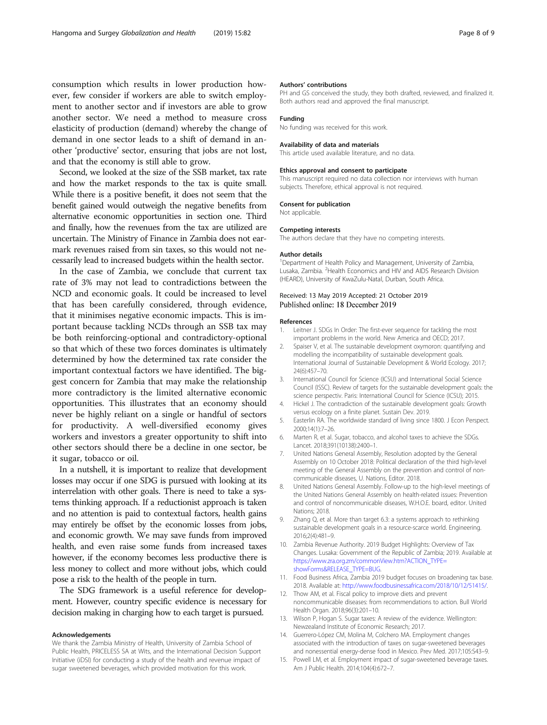<span id="page-7-0"></span>consumption which results in lower production however, few consider if workers are able to switch employment to another sector and if investors are able to grow another sector. We need a method to measure cross elasticity of production (demand) whereby the change of demand in one sector leads to a shift of demand in another 'productive' sector, ensuring that jobs are not lost, and that the economy is still able to grow.

Second, we looked at the size of the SSB market, tax rate and how the market responds to the tax is quite small. While there is a positive benefit, it does not seem that the benefit gained would outweigh the negative benefits from alternative economic opportunities in section one. Third and finally, how the revenues from the tax are utilized are uncertain. The Ministry of Finance in Zambia does not earmark revenues raised from sin taxes, so this would not necessarily lead to increased budgets within the health sector.

In the case of Zambia, we conclude that current tax rate of 3% may not lead to contradictions between the NCD and economic goals. It could be increased to level that has been carefully considered, through evidence, that it minimises negative economic impacts. This is important because tackling NCDs through an SSB tax may be both reinforcing-optional and contradictory-optional so that which of these two forces dominates is ultimately determined by how the determined tax rate consider the important contextual factors we have identified. The biggest concern for Zambia that may make the relationship more contradictory is the limited alternative economic opportunities. This illustrates that an economy should never be highly reliant on a single or handful of sectors for productivity. A well-diversified economy gives workers and investors a greater opportunity to shift into other sectors should there be a decline in one sector, be it sugar, tobacco or oil.

In a nutshell, it is important to realize that development losses may occur if one SDG is pursued with looking at its interrelation with other goals. There is need to take a systems thinking approach. If a reductionist approach is taken and no attention is paid to contextual factors, health gains may entirely be offset by the economic losses from jobs, and economic growth. We may save funds from improved health, and even raise some funds from increased taxes however, if the economy becomes less productive there is less money to collect and more without jobs, which could pose a risk to the health of the people in turn.

The SDG framework is a useful reference for development. However, country specific evidence is necessary for decision making in charging how to each target is pursued.

#### Acknowledgements

We thank the Zambia Ministry of Health, University of Zambia School of Public Health, PRICELESS SA at Wits, and the International Decision Support Initiative (iDSI) for conducting a study of the health and revenue impact of sugar sweetened beverages, which provided motivation for this work.

#### Authors' contributions

PH and GS conceived the study, they both drafted, reviewed, and finalized it. Both authors read and approved the final manuscript.

#### Funding

No funding was received for this work.

#### Availability of data and materials

This article used available literature, and no data.

#### Ethics approval and consent to participate

This manuscript required no data collection nor interviews with human subjects. Therefore, ethical approval is not required.

#### Consent for publication

Not applicable.

#### Competing interests

The authors declare that they have no competing interests.

#### Author details

<sup>1</sup>Department of Health Policy and Management, University of Zambia, Lusaka, Zambia. <sup>2</sup> Health Economics and HIV and AIDS Research Division (HEARD), University of KwaZulu-Natal, Durban, South Africa.

### Received: 13 May 2019 Accepted: 21 October 2019 Published online: 18 December 2019

#### References

- 1. Leitner J. SDGs In Order: The first-ever sequence for tackling the most important problems in the world. New America and OECD; 2017.
- 2. Spaiser V, et al. The sustainable development oxymoron: quantifying and modelling the incompatibility of sustainable development goals. International Journal of Sustainable Development & World Ecology. 2017; 24(6):457–70.
- 3. International Council for Science (ICSU) and International Social Science Council (ISSC). Review of targets for the sustainable development goals: the science perspectiv. Paris: International Council for Science (ICSU); 2015.
- 4. Hickel J. The contradiction of the sustainable development goals: Growth versus ecology on a finite planet. Sustain Dev. 2019.
- 5. Easterlin RA. The worldwide standard of living since 1800. J Econ Perspect. 2000;14(1):7–26.
- 6. Marten R, et al. Sugar, tobacco, and alcohol taxes to achieve the SDGs. Lancet. 2018;391(10138):2400–1.
- 7. United Nations General Assembly, Resolution adopted by the General Assembly on 10 October 2018: Political declaration of the third high-level meeting of the General Assembly on the prevention and control of noncommunicable diseases, U. Nations, Editor. 2018.
- 8. United Nations General Assembly. Follow-up to the high-level meetings of the United Nations General Assembly on health-related issues: Prevention and control of noncommunicable diseases, W.H.O.E. board, editor. United Nations; 2018.
- 9. Zhang Q, et al. More than target 6.3: a systems approach to rethinking sustainable development goals in a resource-scarce world. Engineering. 2016;2(4):481–9.
- 10. Zambia Revenue Authority. 2019 Budget Highlights: Overview of Tax Changes. Lusaka: Government of the Republic of Zambia; 2019. Available at [https://www.zra.org.zm/commonView.htm?ACTION\\_TYPE=](https://www.zra.org.zm/commonView.htm?ACTION_TYPE=showForms&RELEASE_TYPE=BUG) [showForms&RELEASE\\_TYPE=BUG](https://www.zra.org.zm/commonView.htm?ACTION_TYPE=showForms&RELEASE_TYPE=BUG).
- 11. Food Business Africa, Zambia 2019 budget focuses on broadening tax base. 2018. Available at: <http://www.foodbusinessafrica.com/2018/10/12/51415/>.
- 12. Thow AM, et al. Fiscal policy to improve diets and prevent noncommunicable diseases: from recommendations to action. Bull World Health Organ. 2018;96(3):201–10.
- 13. Wilson P, Hogan S. Sugar taxes: A review of the evidence. Wellington: Newzealand Institute of Economic Research; 2017.
- 14. Guerrero-López CM, Molina M, Colchero MA. Employment changes associated with the introduction of taxes on sugar-sweetened beverages and nonessential energy-dense food in Mexico. Prev Med. 2017;105:S43–9.
- 15. Powell LM, et al. Employment impact of sugar-sweetened beverage taxes. Am J Public Health. 2014;104(4):672–7.